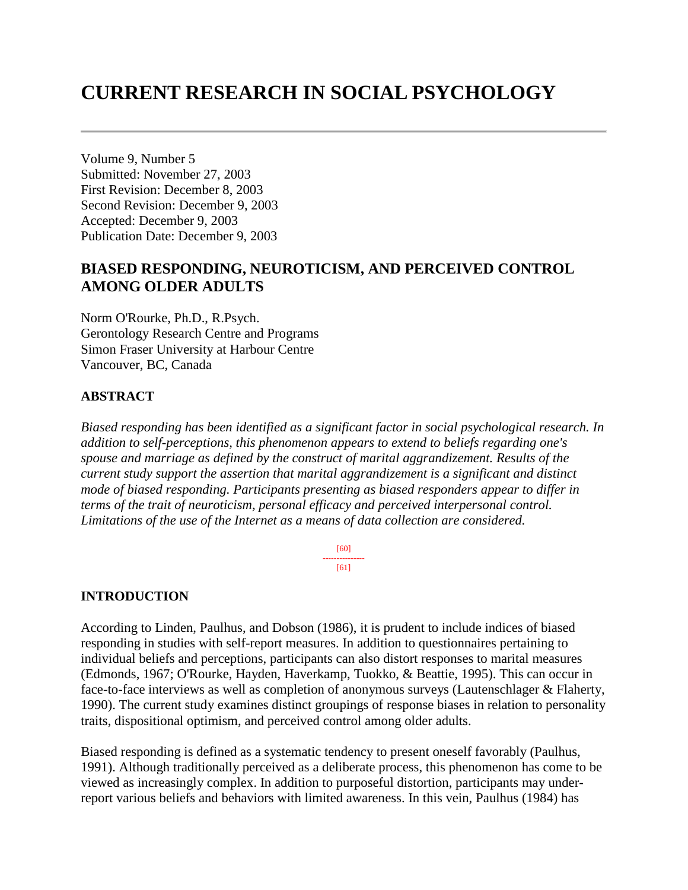# **CURRENT RESEARCH IN SOCIAL PSYCHOLOGY**

Volume 9, Number 5 Submitted: November 27, 2003 First Revision: December 8, 2003 Second Revision: December 9, 2003 Accepted: December 9, 2003 Publication Date: December 9, 2003

## **BIASED RESPONDING, NEUROTICISM, AND PERCEIVED CONTROL AMONG OLDER ADULTS**

Norm O'Rourke, Ph.D., R.Psych. Gerontology Research Centre and Programs Simon Fraser University at Harbour Centre Vancouver, BC, Canada

### **ABSTRACT**

*Biased responding has been identified as a significant factor in social psychological research. In addition to self-perceptions, this phenomenon appears to extend to beliefs regarding one's spouse and marriage as defined by the construct of marital aggrandizement. Results of the current study support the assertion that marital aggrandizement is a significant and distinct mode of biased responding. Participants presenting as biased responders appear to differ in terms of the trait of neuroticism, personal efficacy and perceived interpersonal control. Limitations of the use of the Internet as a means of data collection are considered.* 

> [60] --------------- [61]

## **INTRODUCTION**

According to Linden, Paulhus, and Dobson (1986), it is prudent to include indices of biased responding in studies with self-report measures. In addition to questionnaires pertaining to individual beliefs and perceptions, participants can also distort responses to marital measures (Edmonds, 1967; O'Rourke, Hayden, Haverkamp, Tuokko, & Beattie, 1995). This can occur in face-to-face interviews as well as completion of anonymous surveys (Lautenschlager & Flaherty, 1990). The current study examines distinct groupings of response biases in relation to personality traits, dispositional optimism, and perceived control among older adults.

Biased responding is defined as a systematic tendency to present oneself favorably (Paulhus, 1991). Although traditionally perceived as a deliberate process, this phenomenon has come to be viewed as increasingly complex. In addition to purposeful distortion, participants may underreport various beliefs and behaviors with limited awareness. In this vein, Paulhus (1984) has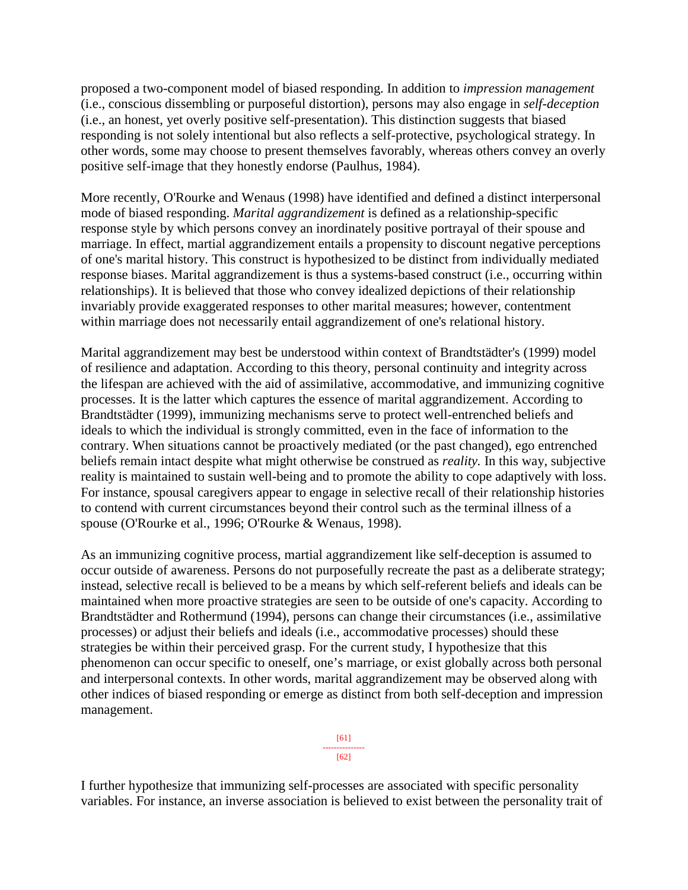proposed a two-component model of biased responding. In addition to *impression management* (i.e., conscious dissembling or purposeful distortion), persons may also engage in *self-deception* (i.e., an honest, yet overly positive self-presentation). This distinction suggests that biased responding is not solely intentional but also reflects a self-protective, psychological strategy. In other words, some may choose to present themselves favorably, whereas others convey an overly positive self-image that they honestly endorse (Paulhus, 1984).

More recently, O'Rourke and Wenaus (1998) have identified and defined a distinct interpersonal mode of biased responding. *Marital aggrandizement* is defined as a relationship-specific response style by which persons convey an inordinately positive portrayal of their spouse and marriage. In effect, martial aggrandizement entails a propensity to discount negative perceptions of one's marital history. This construct is hypothesized to be distinct from individually mediated response biases. Marital aggrandizement is thus a systems-based construct (i.e., occurring within relationships). It is believed that those who convey idealized depictions of their relationship invariably provide exaggerated responses to other marital measures; however, contentment within marriage does not necessarily entail aggrandizement of one's relational history.

Marital aggrandizement may best be understood within context of Brandtstädter's (1999) model of resilience and adaptation. According to this theory, personal continuity and integrity across the lifespan are achieved with the aid of assimilative, accommodative, and immunizing cognitive processes. It is the latter which captures the essence of marital aggrandizement. According to Brandtstädter (1999), immunizing mechanisms serve to protect well-entrenched beliefs and ideals to which the individual is strongly committed, even in the face of information to the contrary. When situations cannot be proactively mediated (or the past changed), ego entrenched beliefs remain intact despite what might otherwise be construed as *reality.* In this way, subjective reality is maintained to sustain well-being and to promote the ability to cope adaptively with loss. For instance, spousal caregivers appear to engage in selective recall of their relationship histories to contend with current circumstances beyond their control such as the terminal illness of a spouse (O'Rourke et al., 1996; O'Rourke & Wenaus, 1998).

As an immunizing cognitive process, martial aggrandizement like self-deception is assumed to occur outside of awareness. Persons do not purposefully recreate the past as a deliberate strategy; instead, selective recall is believed to be a means by which self-referent beliefs and ideals can be maintained when more proactive strategies are seen to be outside of one's capacity. According to Brandtstädter and Rothermund (1994), persons can change their circumstances (i.e., assimilative processes) or adjust their beliefs and ideals (i.e., accommodative processes) should these strategies be within their perceived grasp. For the current study, I hypothesize that this phenomenon can occur specific to oneself, one's marriage, or exist globally across both personal and interpersonal contexts. In other words, marital aggrandizement may be observed along with other indices of biased responding or emerge as distinct from both self-deception and impression management.

> [61] --------------- [62]

I further hypothesize that immunizing self-processes are associated with specific personality variables. For instance, an inverse association is believed to exist between the personality trait of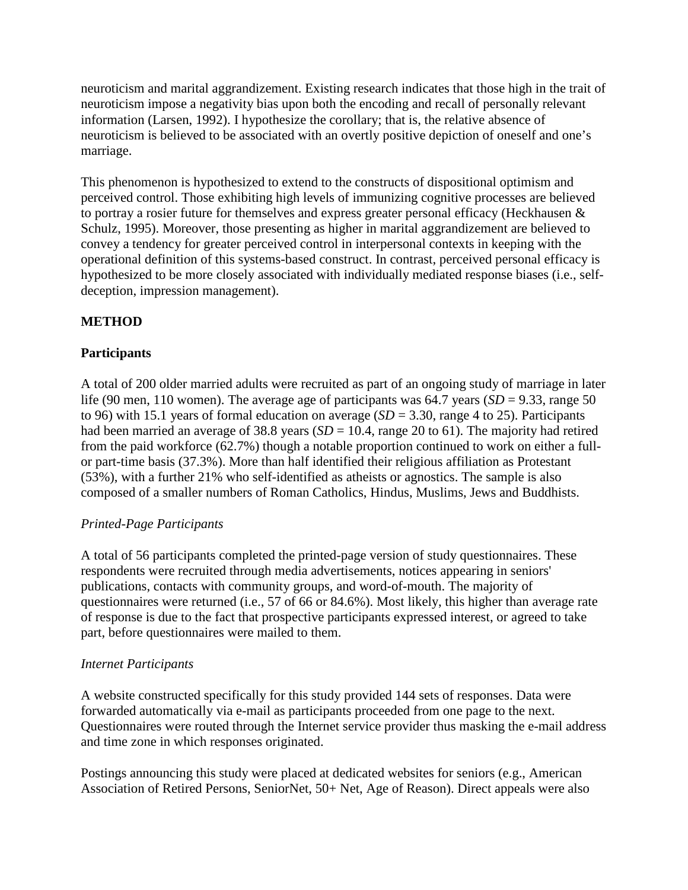neuroticism and marital aggrandizement. Existing research indicates that those high in the trait of neuroticism impose a negativity bias upon both the encoding and recall of personally relevant information (Larsen, 1992). I hypothesize the corollary; that is, the relative absence of neuroticism is believed to be associated with an overtly positive depiction of oneself and one's marriage.

This phenomenon is hypothesized to extend to the constructs of dispositional optimism and perceived control. Those exhibiting high levels of immunizing cognitive processes are believed to portray a rosier future for themselves and express greater personal efficacy (Heckhausen & Schulz, 1995). Moreover, those presenting as higher in marital aggrandizement are believed to convey a tendency for greater perceived control in interpersonal contexts in keeping with the operational definition of this systems-based construct. In contrast, perceived personal efficacy is hypothesized to be more closely associated with individually mediated response biases (i.e., selfdeception, impression management).

## **METHOD**

## **Participants**

A total of 200 older married adults were recruited as part of an ongoing study of marriage in later life (90 men, 110 women). The average age of participants was  $64.7$  years (*SD* = 9.33, range 50 to 96) with 15.1 years of formal education on average  $(SD = 3.30)$ , range 4 to 25). Participants had been married an average of 38.8 years  $(SD = 10.4$ , range 20 to 61). The majority had retired from the paid workforce (62.7%) though a notable proportion continued to work on either a fullor part-time basis (37.3%). More than half identified their religious affiliation as Protestant (53%), with a further 21% who self-identified as atheists or agnostics. The sample is also composed of a smaller numbers of Roman Catholics, Hindus, Muslims, Jews and Buddhists.

## *Printed-Page Participants*

A total of 56 participants completed the printed-page version of study questionnaires. These respondents were recruited through media advertisements, notices appearing in seniors' publications, contacts with community groups, and word-of-mouth. The majority of questionnaires were returned (i.e., 57 of 66 or 84.6%). Most likely, this higher than average rate of response is due to the fact that prospective participants expressed interest, or agreed to take part, before questionnaires were mailed to them.

## *Internet Participants*

A website constructed specifically for this study provided 144 sets of responses. Data were forwarded automatically via e-mail as participants proceeded from one page to the next. Questionnaires were routed through the Internet service provider thus masking the e-mail address and time zone in which responses originated.

Postings announcing this study were placed at dedicated websites for seniors (e.g., American Association of Retired Persons, SeniorNet, 50+ Net, Age of Reason). Direct appeals were also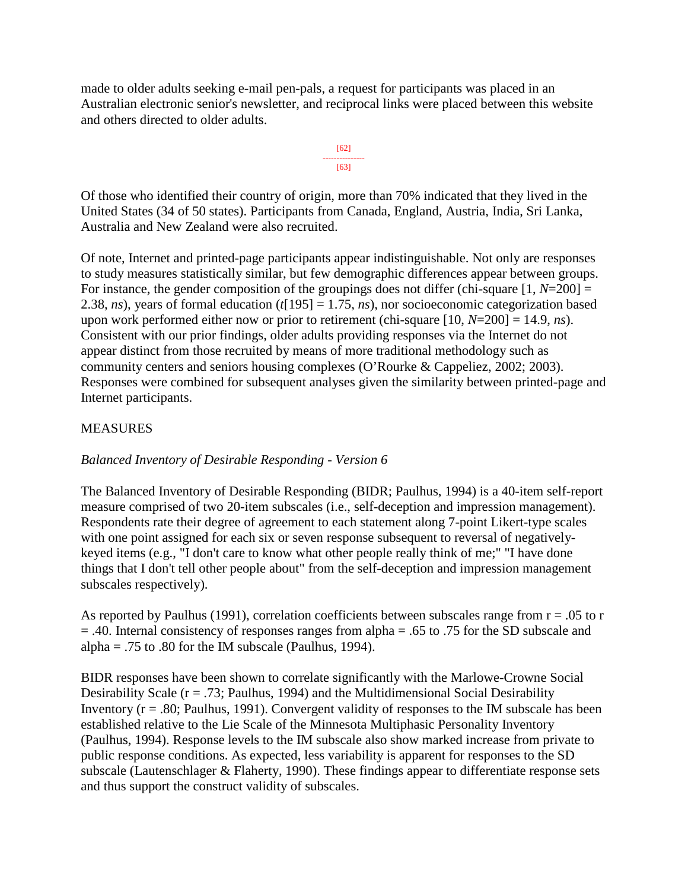made to older adults seeking e-mail pen-pals, a request for participants was placed in an Australian electronic senior's newsletter, and reciprocal links were placed between this website and others directed to older adults.



Of those who identified their country of origin, more than 70% indicated that they lived in the United States (34 of 50 states). Participants from Canada, England, Austria, India, Sri Lanka, Australia and New Zealand were also recruited.

Of note, Internet and printed-page participants appear indistinguishable. Not only are responses to study measures statistically similar, but few demographic differences appear between groups. For instance, the gender composition of the groupings does not differ (chi-square [1, *N*=200] = 2.38, *ns*), years of formal education (*t*[195] = 1.75, *ns*), nor socioeconomic categorization based upon work performed either now or prior to retirement (chi-square [10, *N*=200] = 14.9, *ns*). Consistent with our prior findings, older adults providing responses via the Internet do not appear distinct from those recruited by means of more traditional methodology such as community centers and seniors housing complexes (O'Rourke & Cappeliez, 2002; 2003). Responses were combined for subsequent analyses given the similarity between printed-page and Internet participants.

## MEASURES

## *Balanced Inventory of Desirable Responding - Version 6*

The Balanced Inventory of Desirable Responding (BIDR; Paulhus, 1994) is a 40-item self-report measure comprised of two 20-item subscales (i.e., self-deception and impression management). Respondents rate their degree of agreement to each statement along 7-point Likert-type scales with one point assigned for each six or seven response subsequent to reversal of negativelykeyed items (e.g., "I don't care to know what other people really think of me;" "I have done things that I don't tell other people about" from the self-deception and impression management subscales respectively).

As reported by Paulhus (1991), correlation coefficients between subscales range from  $r = .05$  to r = .40. Internal consistency of responses ranges from alpha = .65 to .75 for the SD subscale and alpha = .75 to .80 for the IM subscale (Paulhus, 1994).

BIDR responses have been shown to correlate significantly with the Marlowe-Crowne Social Desirability Scale ( $r = .73$ ; Paulhus, 1994) and the Multidimensional Social Desirability Inventory ( $r = .80$ ; Paulhus, 1991). Convergent validity of responses to the IM subscale has been established relative to the Lie Scale of the Minnesota Multiphasic Personality Inventory (Paulhus, 1994). Response levels to the IM subscale also show marked increase from private to public response conditions. As expected, less variability is apparent for responses to the SD subscale (Lautenschlager & Flaherty, 1990). These findings appear to differentiate response sets and thus support the construct validity of subscales.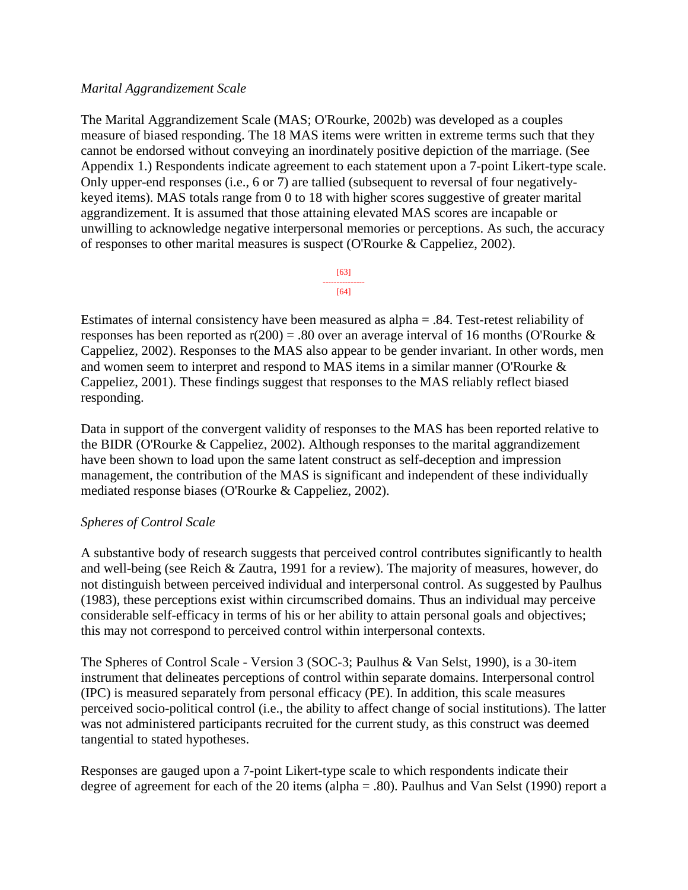#### *Marital Aggrandizement Scale*

The Marital Aggrandizement Scale (MAS; O'Rourke, 2002b) was developed as a couples measure of biased responding. The 18 MAS items were written in extreme terms such that they cannot be endorsed without conveying an inordinately positive depiction of the marriage. (See Appendix 1.) Respondents indicate agreement to each statement upon a 7-point Likert-type scale. Only upper-end responses (i.e., 6 or 7) are tallied (subsequent to reversal of four negativelykeyed items). MAS totals range from 0 to 18 with higher scores suggestive of greater marital aggrandizement. It is assumed that those attaining elevated MAS scores are incapable or unwilling to acknowledge negative interpersonal memories or perceptions. As such, the accuracy of responses to other marital measures is suspect (O'Rourke & Cappeliez, 2002).



Estimates of internal consistency have been measured as alpha = .84. Test-retest reliability of responses has been reported as  $r(200) = .80$  over an average interval of 16 months (O'Rourke & Cappeliez, 2002). Responses to the MAS also appear to be gender invariant. In other words, men and women seem to interpret and respond to MAS items in a similar manner (O'Rourke & Cappeliez, 2001). These findings suggest that responses to the MAS reliably reflect biased responding.

Data in support of the convergent validity of responses to the MAS has been reported relative to the BIDR (O'Rourke & Cappeliez, 2002). Although responses to the marital aggrandizement have been shown to load upon the same latent construct as self-deception and impression management, the contribution of the MAS is significant and independent of these individually mediated response biases (O'Rourke & Cappeliez, 2002).

#### *Spheres of Control Scale*

A substantive body of research suggests that perceived control contributes significantly to health and well-being (see Reich & Zautra, 1991 for a review). The majority of measures, however, do not distinguish between perceived individual and interpersonal control. As suggested by Paulhus (1983), these perceptions exist within circumscribed domains. Thus an individual may perceive considerable self-efficacy in terms of his or her ability to attain personal goals and objectives; this may not correspond to perceived control within interpersonal contexts.

The Spheres of Control Scale - Version 3 (SOC-3; Paulhus & Van Selst, 1990), is a 30-item instrument that delineates perceptions of control within separate domains. Interpersonal control (IPC) is measured separately from personal efficacy (PE). In addition, this scale measures perceived socio-political control (i.e., the ability to affect change of social institutions). The latter was not administered participants recruited for the current study, as this construct was deemed tangential to stated hypotheses.

Responses are gauged upon a 7-point Likert-type scale to which respondents indicate their degree of agreement for each of the 20 items (alpha = .80). Paulhus and Van Selst (1990) report a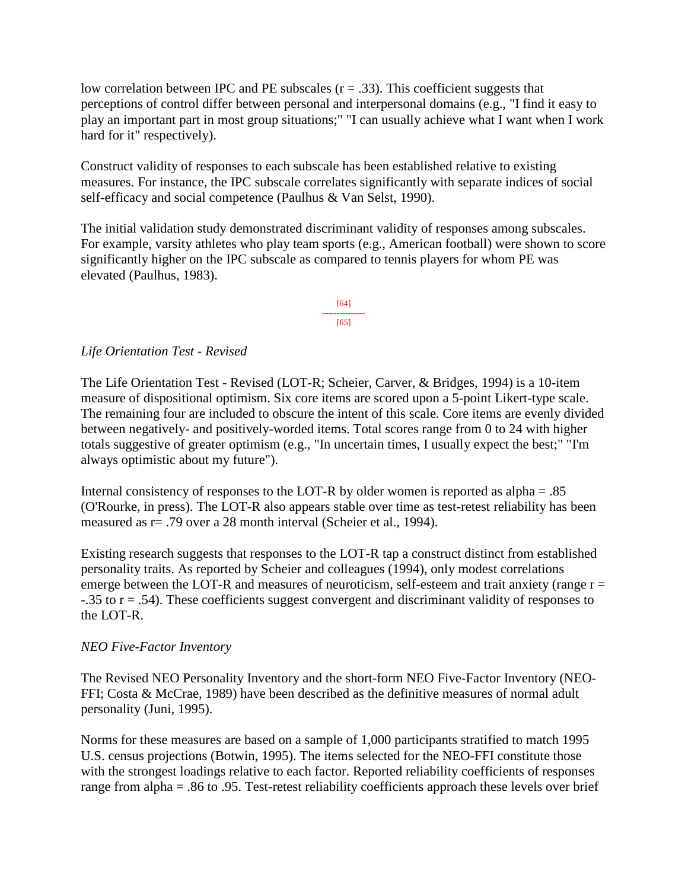low correlation between IPC and PE subscales  $(r = .33)$ . This coefficient suggests that perceptions of control differ between personal and interpersonal domains (e.g., "I find it easy to play an important part in most group situations;" "I can usually achieve what I want when I work hard for it" respectively).

Construct validity of responses to each subscale has been established relative to existing measures. For instance, the IPC subscale correlates significantly with separate indices of social self-efficacy and social competence (Paulhus & Van Selst, 1990).

The initial validation study demonstrated discriminant validity of responses among subscales. For example, varsity athletes who play team sports (e.g., American football) were shown to score significantly higher on the IPC subscale as compared to tennis players for whom PE was elevated (Paulhus, 1983).

> [64] ---------------  $[65]$

### *Life Orientation Test - Revised*

The Life Orientation Test - Revised (LOT-R; Scheier, Carver, & Bridges, 1994) is a 10-item measure of dispositional optimism. Six core items are scored upon a 5-point Likert-type scale. The remaining four are included to obscure the intent of this scale. Core items are evenly divided between negatively- and positively-worded items. Total scores range from 0 to 24 with higher totals suggestive of greater optimism (e.g., "In uncertain times, I usually expect the best;" "I'm always optimistic about my future").

Internal consistency of responses to the LOT-R by older women is reported as alpha = .85 (O'Rourke, in press). The LOT-R also appears stable over time as test-retest reliability has been measured as r= .79 over a 28 month interval (Scheier et al., 1994).

Existing research suggests that responses to the LOT-R tap a construct distinct from established personality traits. As reported by Scheier and colleagues (1994), only modest correlations emerge between the LOT-R and measures of neuroticism, self-esteem and trait anxiety (range  $r =$ -.35 to r = .54). These coefficients suggest convergent and discriminant validity of responses to the LOT-R.

#### *NEO Five-Factor Inventory*

The Revised NEO Personality Inventory and the short-form NEO Five-Factor Inventory (NEO-FFI; Costa & McCrae, 1989) have been described as the definitive measures of normal adult personality (Juni, 1995).

Norms for these measures are based on a sample of 1,000 participants stratified to match 1995 U.S. census projections (Botwin, 1995). The items selected for the NEO-FFI constitute those with the strongest loadings relative to each factor. Reported reliability coefficients of responses range from alpha = .86 to .95. Test-retest reliability coefficients approach these levels over brief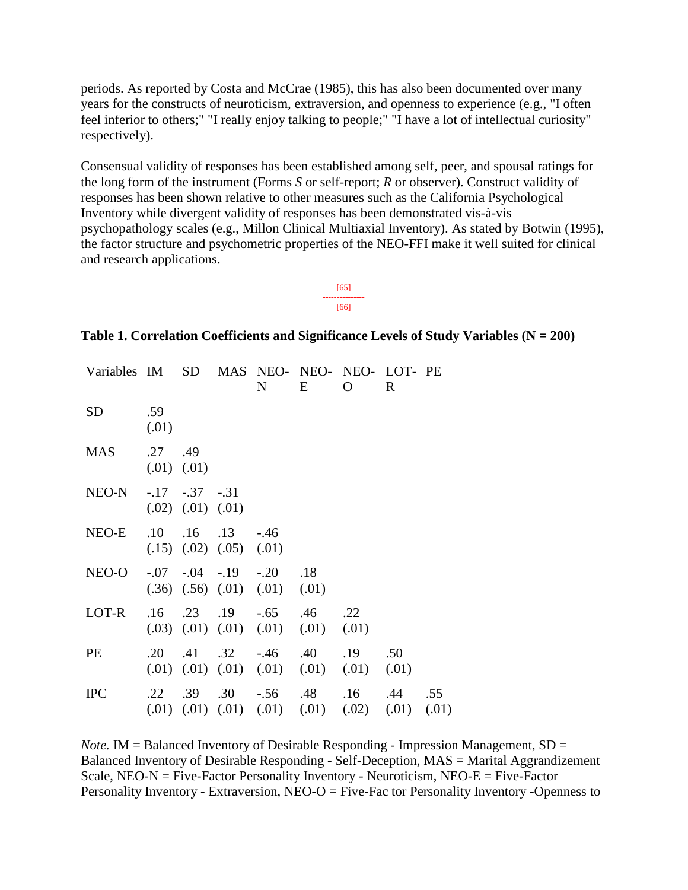periods. As reported by Costa and McCrae (1985), this has also been documented over many years for the constructs of neuroticism, extraversion, and openness to experience (e.g., "I often feel inferior to others;" "I really enjoy talking to people;" "I have a lot of intellectual curiosity" respectively).

Consensual validity of responses has been established among self, peer, and spousal ratings for the long form of the instrument (Forms *S* or self-report; *R* or observer). Construct validity of responses has been shown relative to other measures such as the California Psychological Inventory while divergent validity of responses has been demonstrated vis-à-vis psychopathology scales (e.g., Millon Clinical Multiaxial Inventory). As stated by Botwin (1995), the factor structure and psychometric properties of the NEO-FFI make it well suited for clinical and research applications.

> [65] --------------- [66]

#### **Table 1. Correlation Coefficients and Significance Levels of Study Variables (N = 200)**

| Variables IM                        |                             | SD                                              |                                                       | N                                                                                             | E   | MAS NEO- NEO- NEO- LOT- PE<br>O                                                        | R   |     |
|-------------------------------------|-----------------------------|-------------------------------------------------|-------------------------------------------------------|-----------------------------------------------------------------------------------------------|-----|----------------------------------------------------------------------------------------|-----|-----|
| <b>SD</b>                           | .59<br>(.01)                |                                                 |                                                       |                                                                                               |     |                                                                                        |     |     |
| <b>MAS</b>                          | .27.49<br>$(0.01)$ $(0.01)$ |                                                 |                                                       |                                                                                               |     |                                                                                        |     |     |
| NEO-N                               |                             | $-.17$ $-.37$ $-.31$<br>$(.02)$ $(.01)$ $(.01)$ |                                                       |                                                                                               |     |                                                                                        |     |     |
| NEO-E                               | .10                         |                                                 | $.16$ $.13$ $-.46$<br>$(.15)$ $(.02)$ $(.05)$ $(.01)$ |                                                                                               |     |                                                                                        |     |     |
| $NEO-O$ $-.07$ $-.04$ $-.19$ $-.20$ |                             |                                                 |                                                       | $(.36)$ $(.56)$ $(.01)$ $(.01)$ $(.01)$                                                       | .18 |                                                                                        |     |     |
| LOT-R                               |                             |                                                 |                                                       | $.16$ $.23$ $.19$ $-.65$ $.46$ $.22$<br>$(0.03)$ $(0.01)$ $(0.01)$ $(0.01)$ $(0.01)$ $(0.01)$ |     |                                                                                        |     |     |
| PE                                  | $.20\,$                     |                                                 |                                                       | $.41 \quad .32 \quad .46 \quad .40$                                                           |     | .19<br>$(0.01)$ $(0.01)$ $(0.01)$ $(0.01)$ $(0.01)$ $(0.01)$ $(0.01)$                  | .50 |     |
| <b>IPC</b>                          |                             |                                                 |                                                       | .22 .39 .30 -.56 .48                                                                          |     | $.16$ $.44$<br>$(0.01)$ $(0.01)$ $(0.01)$ $(0.01)$ $(0.01)$ $(0.02)$ $(0.01)$ $(0.01)$ |     | .55 |

*Note.* IM = Balanced Inventory of Desirable Responding - Impression Management, SD = Balanced Inventory of Desirable Responding - Self-Deception, MAS = Marital Aggrandizement Scale,  $NEO-N = Five-Factor$  Personality Inventory - Neuroticism,  $NEO-E = Five-Factor$ Personality Inventory - Extraversion, NEO-O = Five-Fac tor Personality Inventory -Openness to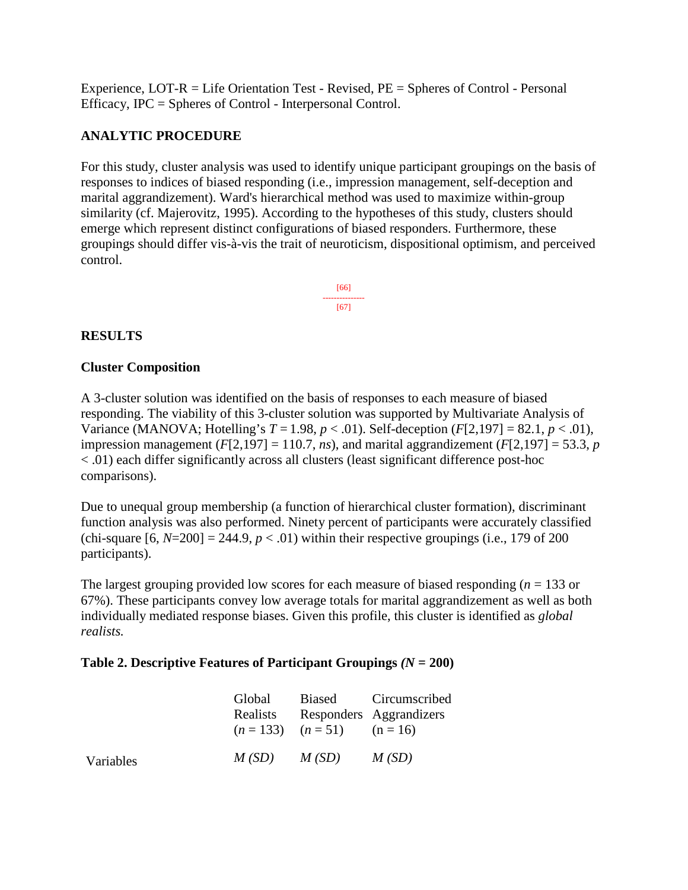Experience, LOT-R = Life Orientation Test - Revised, PE = Spheres of Control - Personal Efficacy, IPC = Spheres of Control - Interpersonal Control.

## **ANALYTIC PROCEDURE**

For this study, cluster analysis was used to identify unique participant groupings on the basis of responses to indices of biased responding (i.e., impression management, self-deception and marital aggrandizement). Ward's hierarchical method was used to maximize within-group similarity (cf. Majerovitz, 1995). According to the hypotheses of this study, clusters should emerge which represent distinct configurations of biased responders. Furthermore, these groupings should differ vis-à-vis the trait of neuroticism, dispositional optimism, and perceived control.

> [66] --------------- [67]

## **RESULTS**

### **Cluster Composition**

A 3-cluster solution was identified on the basis of responses to each measure of biased responding. The viability of this 3-cluster solution was supported by Multivariate Analysis of Variance (MANOVA; Hotelling's *T* = 1.98, *p* < .01). Self-deception (*F*[2,197] = 82.1, *p* < .01), impression management  $(F[2,197] = 110.7, ns)$ , and marital aggrandizement  $(F[2,197] = 53.3, p$ < .01) each differ significantly across all clusters (least significant difference post-hoc comparisons).

Due to unequal group membership (a function of hierarchical cluster formation), discriminant function analysis was also performed. Ninety percent of participants were accurately classified (chi-square  $[6, N=200] = 244.9$ ,  $p < .01$ ) within their respective groupings (i.e., 179 of 200 participants).

The largest grouping provided low scores for each measure of biased responding (*n* = 133 or 67%). These participants convey low average totals for marital aggrandizement as well as both individually mediated response biases. Given this profile, this cluster is identified as *global realists.*

#### **Table 2. Descriptive Features of Participant Groupings** *(N* **= 200)**

|           | Global<br>Realists | $(n = 133)$ $(n = 51)$ $(n = 16)$ | Biased Circumscribed<br>Responders Aggrandizers |
|-----------|--------------------|-----------------------------------|-------------------------------------------------|
| Variables | $M(SD)$ $M(SD)$    |                                   | M(SD)                                           |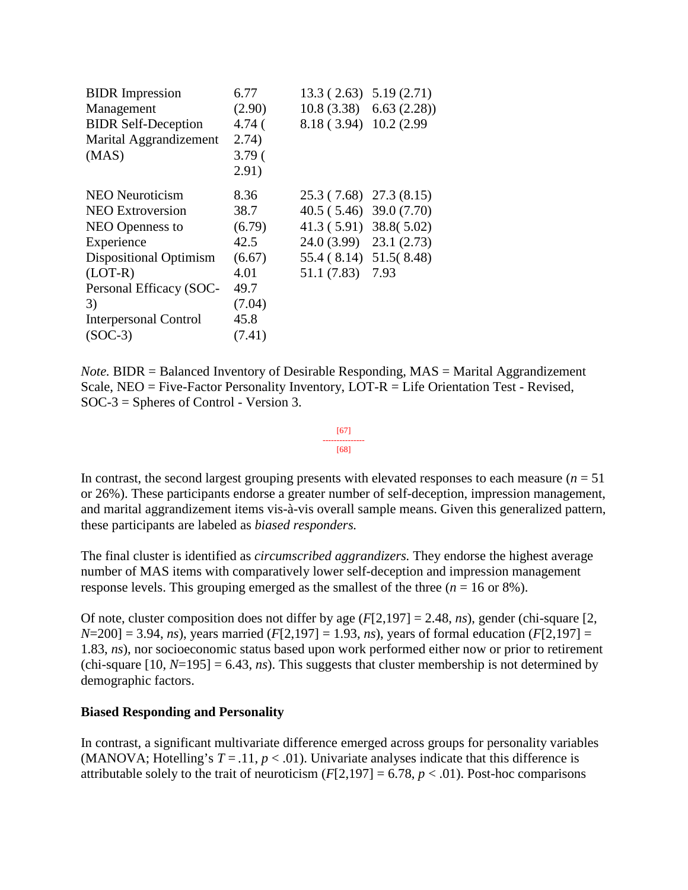| <b>BIDR</b> Impression        | 6.77              | $13.3(2.63)$ 5.19 (2.71)   |                           |
|-------------------------------|-------------------|----------------------------|---------------------------|
| Management                    | (2.90)            |                            | $10.8(3.38)$ 6.63 (2.28)) |
| <b>BIDR Self-Deception</b>    | 4.74 <sup>′</sup> | 8.18 (3.94) 10.2 (2.99)    |                           |
| Marital Aggrandizement        | 2.74)             |                            |                           |
| (MAS)                         | 3.79 <sub>0</sub> |                            |                           |
|                               | 2.91)             |                            |                           |
| <b>NEO Neuroticism</b>        | 8.36              | 25.3 (7.68) 27.3 (8.15)    |                           |
| <b>NEO Extroversion</b>       | 38.7              | $40.5(5.46)$ 39.0 $(7.70)$ |                           |
| NEO Openness to               | (6.79)            | $41.3(5.91)$ 38.8(5.02)    |                           |
| Experience                    | 42.5              | $24.0(3.99)$ $23.1(2.73)$  |                           |
| <b>Dispositional Optimism</b> | (6.67)            | 55.4 (8.14) 51.5 (8.48)    |                           |
| $(LOT-R)$                     | 4.01              | 51.1 (7.83) 7.93           |                           |
| Personal Efficacy (SOC-       | 49.7              |                            |                           |
| 3)                            | (7.04)            |                            |                           |
| <b>Interpersonal Control</b>  | 45.8              |                            |                           |
| $(SOC-3)$                     | (7.41)            |                            |                           |
|                               |                   |                            |                           |

*Note.* BIDR = Balanced Inventory of Desirable Responding, MAS = Marital Aggrandizement Scale, NEO = Five-Factor Personality Inventory, LOT-R = Life Orientation Test - Revised, SOC-3 = Spheres of Control - Version 3.

In contrast, the second largest grouping presents with elevated responses to each measure  $(n = 51$ or 26%). These participants endorse a greater number of self-deception, impression management, and marital aggrandizement items vis-à-vis overall sample means. Given this generalized pattern, these participants are labeled as *biased responders.* 

[67] --------------- [68]

The final cluster is identified as *circumscribed aggrandizers.* They endorse the highest average number of MAS items with comparatively lower self-deception and impression management response levels. This grouping emerged as the smallest of the three  $(n = 16 \text{ or } 8\%)$ .

Of note, cluster composition does not differ by age (*F*[2,197] = 2.48, *ns*), gender (chi-square [2,  $N=200$ ] = 3.94, *ns*), years married (*F*[2,197] = 1.93, *ns*), years of formal education (*F*[2,197] = 1.83, *ns*), nor socioeconomic status based upon work performed either now or prior to retirement (chi-square  $[10, N=195] = 6.43$ , *ns*). This suggests that cluster membership is not determined by demographic factors.

#### **Biased Responding and Personality**

In contrast, a significant multivariate difference emerged across groups for personality variables (MANOVA; Hotelling's  $T = .11$ ,  $p < .01$ ). Univariate analyses indicate that this difference is attributable solely to the trait of neuroticism  $(F[2,197] = 6.78, p < .01)$ . Post-hoc comparisons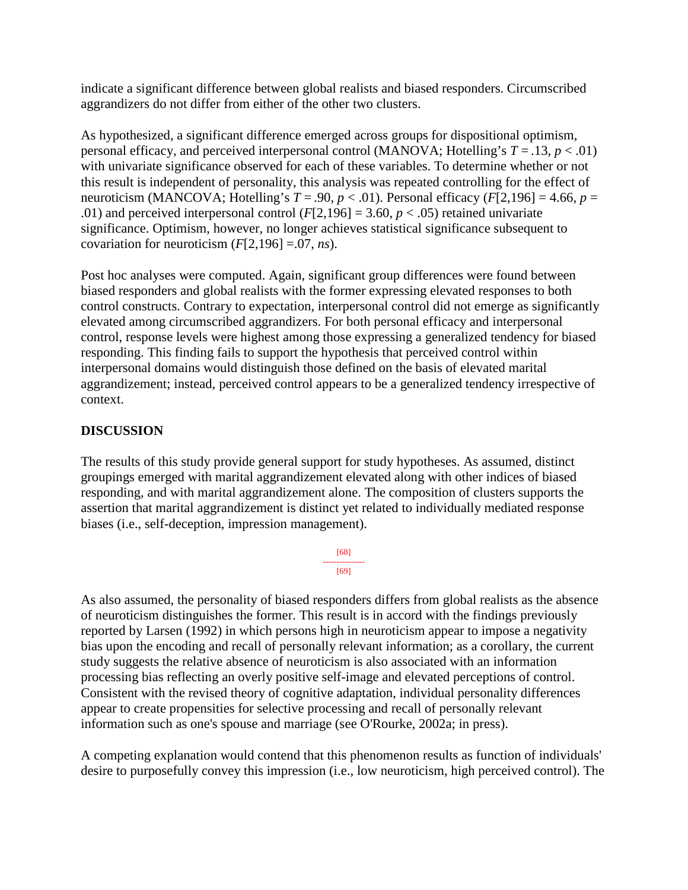indicate a significant difference between global realists and biased responders. Circumscribed aggrandizers do not differ from either of the other two clusters.

As hypothesized, a significant difference emerged across groups for dispositional optimism, personal efficacy, and perceived interpersonal control (MANOVA; Hotelling's  $T = .13$ ,  $p < .01$ ) with univariate significance observed for each of these variables. To determine whether or not this result is independent of personality, this analysis was repeated controlling for the effect of neuroticism (MANCOVA; Hotelling's  $T = .90$ ,  $p < .01$ ). Personal efficacy ( $F[2,196] = 4.66$ ,  $p =$ .01) and perceived interpersonal control  $(F[2,196] = 3.60, p < .05)$  retained univariate significance. Optimism, however, no longer achieves statistical significance subsequent to covariation for neuroticism  $(F[2,196] = .07, ns)$ .

Post hoc analyses were computed. Again, significant group differences were found between biased responders and global realists with the former expressing elevated responses to both control constructs. Contrary to expectation, interpersonal control did not emerge as significantly elevated among circumscribed aggrandizers. For both personal efficacy and interpersonal control, response levels were highest among those expressing a generalized tendency for biased responding. This finding fails to support the hypothesis that perceived control within interpersonal domains would distinguish those defined on the basis of elevated marital aggrandizement; instead, perceived control appears to be a generalized tendency irrespective of context.

## **DISCUSSION**

The results of this study provide general support for study hypotheses. As assumed, distinct groupings emerged with marital aggrandizement elevated along with other indices of biased responding, and with marital aggrandizement alone. The composition of clusters supports the assertion that marital aggrandizement is distinct yet related to individually mediated response biases (i.e., self-deception, impression management).

$$
\begin{array}{c}\n[68] \\
-\cdots \\
[69]\n\end{array}
$$

As also assumed, the personality of biased responders differs from global realists as the absence of neuroticism distinguishes the former. This result is in accord with the findings previously reported by Larsen (1992) in which persons high in neuroticism appear to impose a negativity bias upon the encoding and recall of personally relevant information; as a corollary, the current study suggests the relative absence of neuroticism is also associated with an information processing bias reflecting an overly positive self-image and elevated perceptions of control. Consistent with the revised theory of cognitive adaptation, individual personality differences appear to create propensities for selective processing and recall of personally relevant information such as one's spouse and marriage (see O'Rourke, 2002a; in press).

A competing explanation would contend that this phenomenon results as function of individuals' desire to purposefully convey this impression (i.e., low neuroticism, high perceived control). The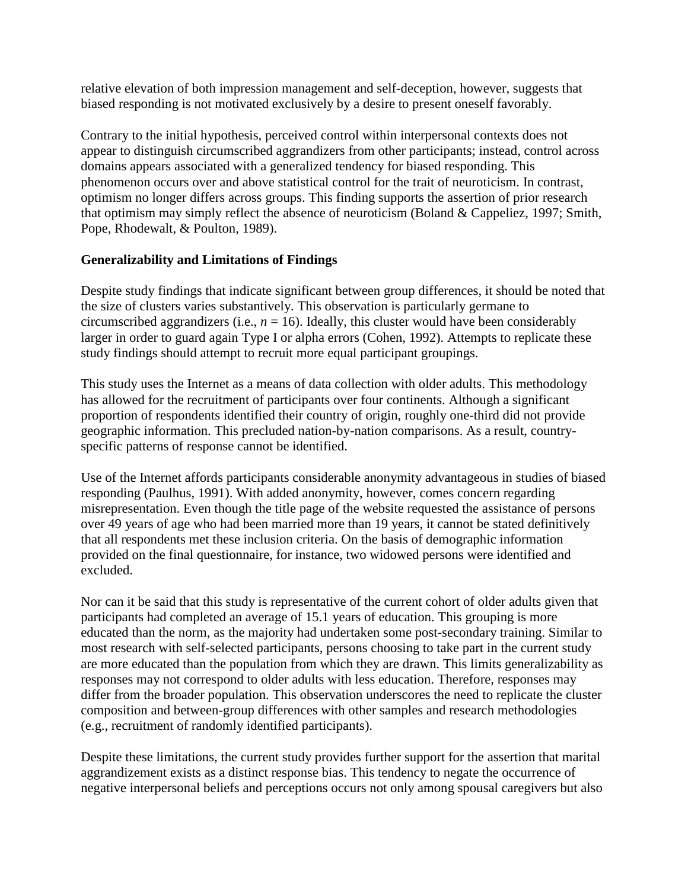relative elevation of both impression management and self-deception, however, suggests that biased responding is not motivated exclusively by a desire to present oneself favorably.

Contrary to the initial hypothesis, perceived control within interpersonal contexts does not appear to distinguish circumscribed aggrandizers from other participants; instead, control across domains appears associated with a generalized tendency for biased responding. This phenomenon occurs over and above statistical control for the trait of neuroticism. In contrast, optimism no longer differs across groups. This finding supports the assertion of prior research that optimism may simply reflect the absence of neuroticism (Boland & Cappeliez, 1997; Smith, Pope, Rhodewalt, & Poulton, 1989).

## **Generalizability and Limitations of Findings**

Despite study findings that indicate significant between group differences, it should be noted that the size of clusters varies substantively. This observation is particularly germane to circumscribed aggrandizers (i.e.,  $n = 16$ ). Ideally, this cluster would have been considerably larger in order to guard again Type I or alpha errors (Cohen, 1992). Attempts to replicate these study findings should attempt to recruit more equal participant groupings.

This study uses the Internet as a means of data collection with older adults. This methodology has allowed for the recruitment of participants over four continents. Although a significant proportion of respondents identified their country of origin, roughly one-third did not provide geographic information. This precluded nation-by-nation comparisons. As a result, countryspecific patterns of response cannot be identified.

Use of the Internet affords participants considerable anonymity advantageous in studies of biased responding (Paulhus, 1991). With added anonymity, however, comes concern regarding misrepresentation. Even though the title page of the website requested the assistance of persons over 49 years of age who had been married more than 19 years, it cannot be stated definitively that all respondents met these inclusion criteria. On the basis of demographic information provided on the final questionnaire, for instance, two widowed persons were identified and excluded.

Nor can it be said that this study is representative of the current cohort of older adults given that participants had completed an average of 15.1 years of education. This grouping is more educated than the norm, as the majority had undertaken some post-secondary training. Similar to most research with self-selected participants, persons choosing to take part in the current study are more educated than the population from which they are drawn. This limits generalizability as responses may not correspond to older adults with less education. Therefore, responses may differ from the broader population. This observation underscores the need to replicate the cluster composition and between-group differences with other samples and research methodologies (e.g., recruitment of randomly identified participants).

Despite these limitations, the current study provides further support for the assertion that marital aggrandizement exists as a distinct response bias. This tendency to negate the occurrence of negative interpersonal beliefs and perceptions occurs not only among spousal caregivers but also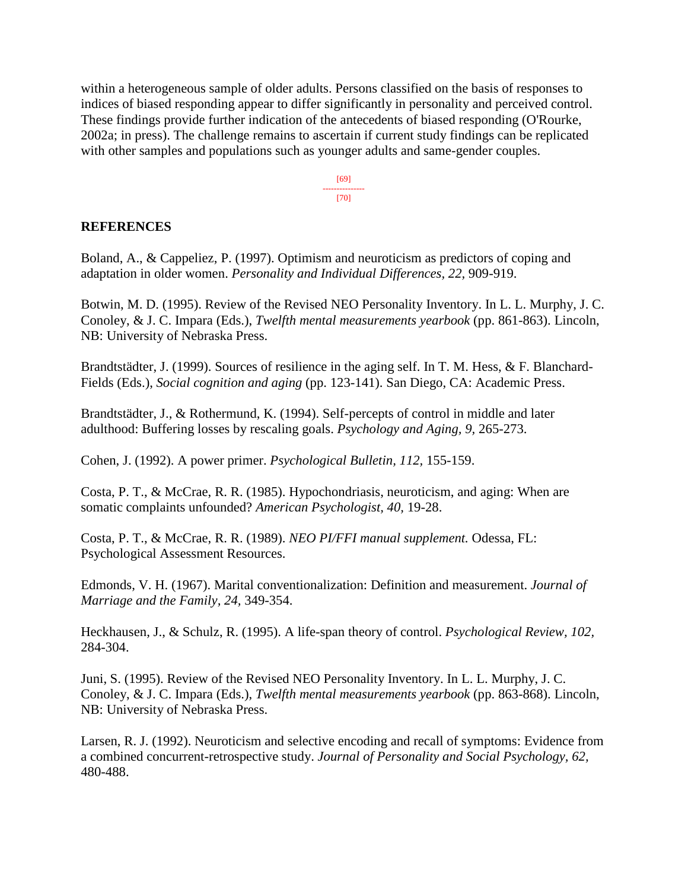within a heterogeneous sample of older adults. Persons classified on the basis of responses to indices of biased responding appear to differ significantly in personality and perceived control. These findings provide further indication of the antecedents of biased responding (O'Rourke, 2002a; in press). The challenge remains to ascertain if current study findings can be replicated with other samples and populations such as younger adults and same-gender couples.

> [69] --------------- [70]

### **REFERENCES**

Boland, A., & Cappeliez, P. (1997). Optimism and neuroticism as predictors of coping and adaptation in older women. *Personality and Individual Differences, 22,* 909-919.

Botwin, M. D. (1995). Review of the Revised NEO Personality Inventory. In L. L. Murphy, J. C. Conoley, & J. C. Impara (Eds.), *Twelfth mental measurements yearbook* (pp. 861-863). Lincoln, NB: University of Nebraska Press.

Brandtstädter, J. (1999). Sources of resilience in the aging self. In T. M. Hess, & F. Blanchard-Fields (Eds.), *Social cognition and aging* (pp. 123-141). San Diego, CA: Academic Press.

Brandtstädter, J., & Rothermund, K. (1994). Self-percepts of control in middle and later adulthood: Buffering losses by rescaling goals. *Psychology and Aging, 9,* 265-273.

Cohen, J. (1992). A power primer. *Psychological Bulletin, 112,* 155-159.

Costa, P. T., & McCrae, R. R. (1985). Hypochondriasis, neuroticism, and aging: When are somatic complaints unfounded? *American Psychologist, 40,* 19-28.

Costa, P. T., & McCrae, R. R. (1989). *NEO PI/FFI manual supplement.* Odessa, FL: Psychological Assessment Resources.

Edmonds, V. H. (1967). Marital conventionalization: Definition and measurement. *Journal of Marriage and the Family, 24,* 349-354.

Heckhausen, J., & Schulz, R. (1995). A life-span theory of control. *Psychological Review, 102,* 284-304.

Juni, S. (1995). Review of the Revised NEO Personality Inventory. In L. L. Murphy, J. C. Conoley, & J. C. Impara (Eds.), *Twelfth mental measurements yearbook* (pp. 863-868). Lincoln, NB: University of Nebraska Press.

Larsen, R. J. (1992). Neuroticism and selective encoding and recall of symptoms: Evidence from a combined concurrent-retrospective study. *Journal of Personality and Social Psychology, 62,* 480-488.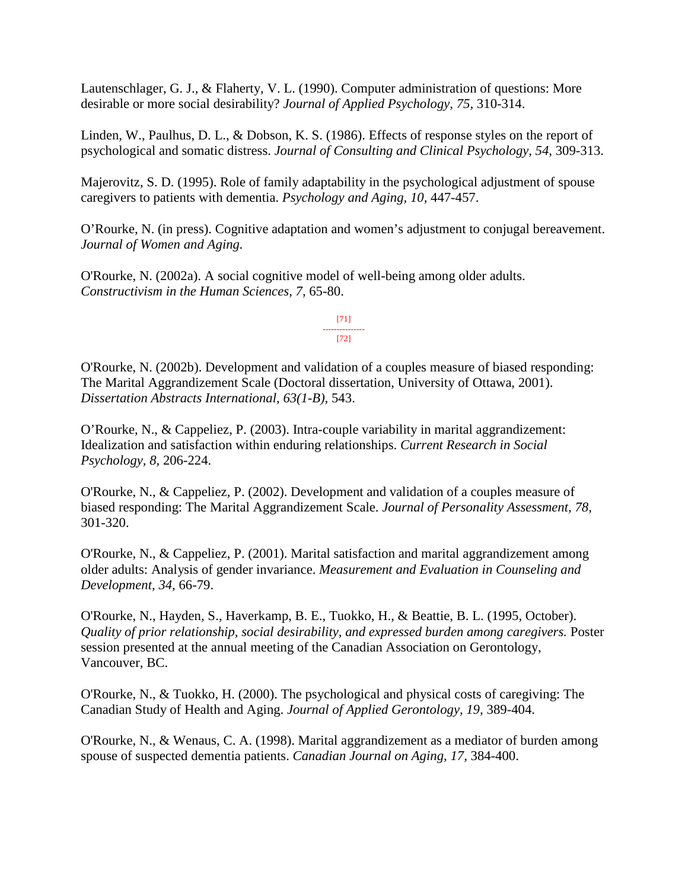Lautenschlager, G. J., & Flaherty, V. L. (1990). Computer administration of questions: More desirable or more social desirability? *Journal of Applied Psychology, 75,* 310-314.

Linden, W., Paulhus, D. L., & Dobson, K. S. (1986). Effects of response styles on the report of psychological and somatic distress. *Journal of Consulting and Clinical Psychology, 54,* 309-313.

Majerovitz, S. D. (1995). Role of family adaptability in the psychological adjustment of spouse caregivers to patients with dementia. *Psychology and Aging, 10,* 447-457.

O'Rourke, N. (in press). Cognitive adaptation and women's adjustment to conjugal bereavement. *Journal of Women and Aging.*

O'Rourke, N. (2002a). A social cognitive model of well-being among older adults. *Constructivism in the Human Sciences, 7,* 65-80.

> [71] --------------- [72]

O'Rourke, N. (2002b). Development and validation of a couples measure of biased responding: The Marital Aggrandizement Scale (Doctoral dissertation, University of Ottawa, 2001). *Dissertation Abstracts International, 63(1-B),* 543.

O'Rourke, N., & Cappeliez, P. (2003). Intra-couple variability in marital aggrandizement: Idealization and satisfaction within enduring relationships. *Current Research in Social Psychology, 8,* 206-224.

O'Rourke, N., & Cappeliez, P. (2002). Development and validation of a couples measure of biased responding: The Marital Aggrandizement Scale. *Journal of Personality Assessment, 78,*  301-320.

O'Rourke, N., & Cappeliez, P. (2001). Marital satisfaction and marital aggrandizement among older adults: Analysis of gender invariance. *Measurement and Evaluation in Counseling and Development, 34,* 66-79.

O'Rourke, N., Hayden, S., Haverkamp, B. E., Tuokko, H., & Beattie, B. L. (1995, October). *Quality of prior relationship, social desirability, and expressed burden among caregivers.* Poster session presented at the annual meeting of the Canadian Association on Gerontology, Vancouver, BC.

O'Rourke, N., & Tuokko, H. (2000). The psychological and physical costs of caregiving: The Canadian Study of Health and Aging. *Journal of Applied Gerontology, 19,* 389-404.

O'Rourke, N., & Wenaus, C. A. (1998). Marital aggrandizement as a mediator of burden among spouse of suspected dementia patients. *Canadian Journal on Aging, 17,* 384-400.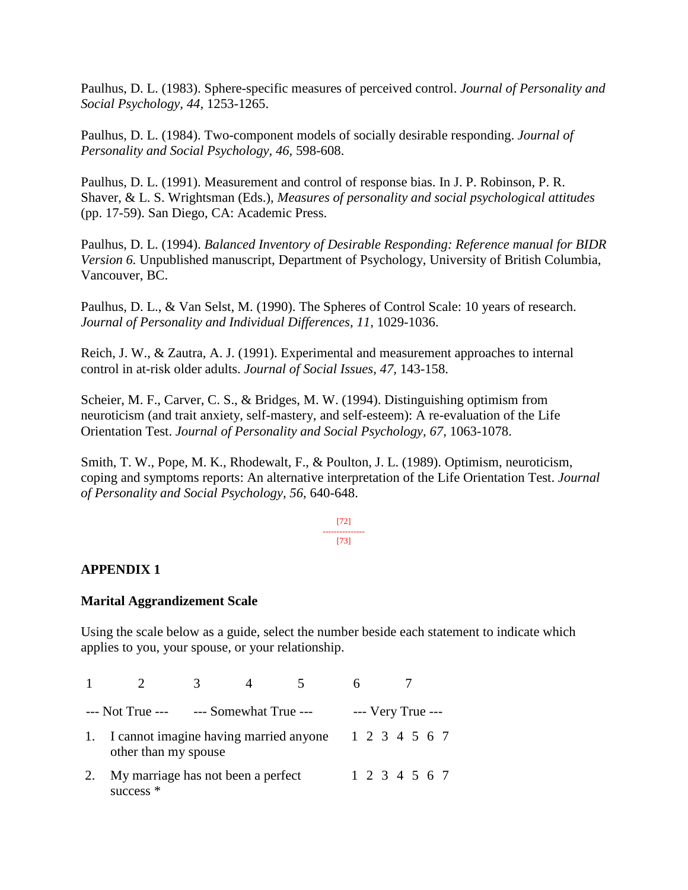Paulhus, D. L. (1983). Sphere-specific measures of perceived control. *Journal of Personality and Social Psychology, 44,* 1253-1265.

Paulhus, D. L. (1984). Two-component models of socially desirable responding. *Journal of Personality and Social Psychology, 46,* 598-608.

Paulhus, D. L. (1991). Measurement and control of response bias. In J. P. Robinson, P. R. Shaver, & L. S. Wrightsman (Eds.), *Measures of personality and social psychological attitudes* (pp. 17-59). San Diego, CA: Academic Press.

Paulhus, D. L. (1994). *Balanced Inventory of Desirable Responding: Reference manual for BIDR Version 6.* Unpublished manuscript, Department of Psychology, University of British Columbia, Vancouver, BC.

Paulhus, D. L., & Van Selst, M. (1990). The Spheres of Control Scale: 10 years of research. *Journal of Personality and Individual Differences, 11,* 1029-1036.

Reich, J. W., & Zautra, A. J. (1991). Experimental and measurement approaches to internal control in at-risk older adults. *Journal of Social Issues, 47,* 143-158.

Scheier, M. F., Carver, C. S., & Bridges, M. W. (1994). Distinguishing optimism from neuroticism (and trait anxiety, self-mastery, and self-esteem): A re-evaluation of the Life Orientation Test. *Journal of Personality and Social Psychology, 67,* 1063-1078.

Smith, T. W., Pope, M. K., Rhodewalt, F., & Poulton, J. L. (1989). Optimism, neuroticism, coping and symptoms reports: An alternative interpretation of the Life Orientation Test. *Journal of Personality and Social Psychology, 56,* 640-648.

#### [72] --------------- [73]

## **APPENDIX 1**

#### **Marital Aggrandizement Scale**

Using the scale below as a guide, select the number beside each statement to indicate which applies to you, your spouse, or your relationship.

| $---$ Not True $-- ---$ Somewhat True $---$                    |                                                   |  |  |  |  | $--$ Very True $--$ |  |  |
|----------------------------------------------------------------|---------------------------------------------------|--|--|--|--|---------------------|--|--|
| I cannot imagine having married anyone<br>other than my spouse |                                                   |  |  |  |  | 1 2 3 4 5 6 7       |  |  |
|                                                                | My marriage has not been a perfect<br>success $*$ |  |  |  |  | 1 2 3 4 5 6 7       |  |  |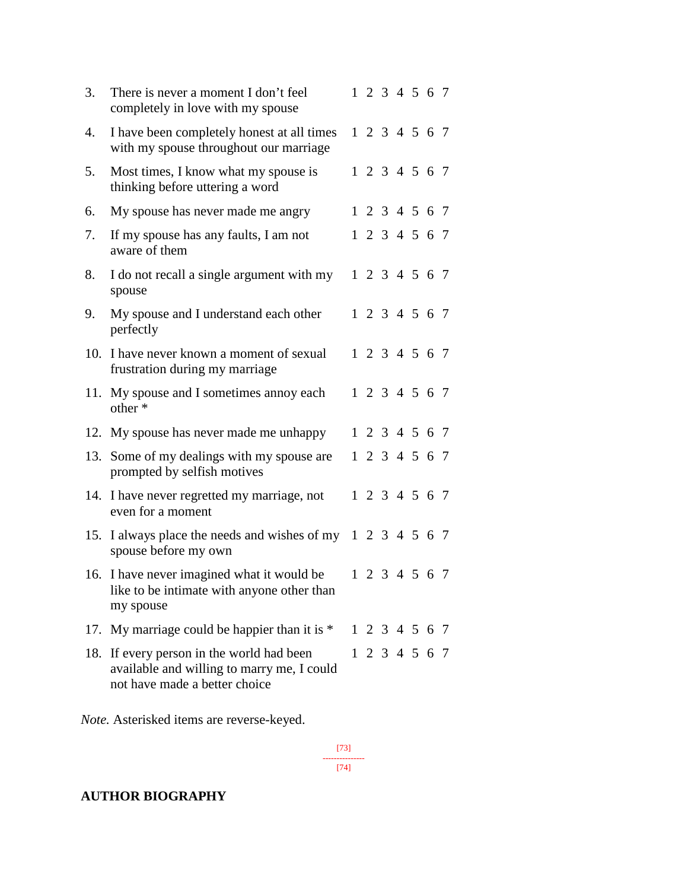| 3.  | There is never a moment I don't feel<br>completely in love with my spouse                                            |  | 1 2 3 4 5 6 7 |  |  |
|-----|----------------------------------------------------------------------------------------------------------------------|--|---------------|--|--|
| 4.  | I have been completely honest at all times<br>with my spouse throughout our marriage                                 |  | 1 2 3 4 5 6 7 |  |  |
| 5.  | Most times, I know what my spouse is<br>thinking before uttering a word                                              |  | 1 2 3 4 5 6 7 |  |  |
| 6.  | My spouse has never made me angry                                                                                    |  | 1 2 3 4 5 6 7 |  |  |
| 7.  | If my spouse has any faults, I am not<br>aware of them                                                               |  | 1 2 3 4 5 6 7 |  |  |
| 8.  | I do not recall a single argument with my<br>spouse                                                                  |  | 1 2 3 4 5 6 7 |  |  |
| 9.  | My spouse and I understand each other<br>perfectly                                                                   |  | 1 2 3 4 5 6 7 |  |  |
|     | 10. I have never known a moment of sexual<br>frustration during my marriage                                          |  | 1 2 3 4 5 6 7 |  |  |
|     | 11. My spouse and I sometimes annoy each<br>other *                                                                  |  | 1 2 3 4 5 6 7 |  |  |
|     | 12. My spouse has never made me unhappy                                                                              |  | 1 2 3 4 5 6 7 |  |  |
|     | 13. Some of my dealings with my spouse are<br>prompted by selfish motives                                            |  | 1 2 3 4 5 6 7 |  |  |
|     | 14. I have never regretted my marriage, not<br>even for a moment                                                     |  | 1 2 3 4 5 6 7 |  |  |
|     | 15. I always place the needs and wishes of my 1 2 3 4 5 6 7<br>spouse before my own                                  |  |               |  |  |
|     | 16. I have never imagined what it would be<br>like to be intimate with anyone other than<br>my spouse                |  | 1 2 3 4 5 6 7 |  |  |
|     | 17. My marriage could be happier than it is $*$                                                                      |  | 1 2 3 4 5 6 7 |  |  |
| 18. | If every person in the world had been<br>available and willing to marry me, I could<br>not have made a better choice |  | 1 2 3 4 5 6 7 |  |  |

*Note.* Asterisked items are reverse-keyed.

[73] --------------- [74]

## **AUTHOR BIOGRAPHY**